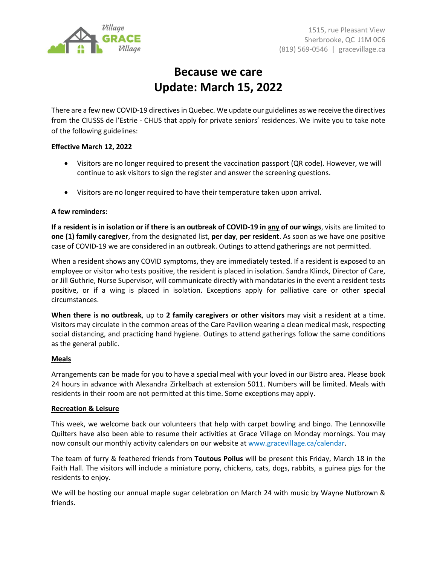

# **Because we care Update: March 15, 2022**

There are a few new COVID-19 directivesin Quebec. We update our guidelines as we receive the directives from the CIUSSS de l'Estrie - CHUS that apply for private seniors' residences. We invite you to take note of the following guidelines:

# **Effective March 12, 2022**

- Visitors are no longer required to present the vaccination passport (QR code). However, we will continue to ask visitors to sign the register and answer the screening questions.
- Visitors are no longer required to have their temperature taken upon arrival.

### **A few reminders:**

**If a resident is in isolation or if there is an outbreak of COVID-19 in any of our wings**, visits are limited to **one (1) family caregiver**, from the designated list, **per day**, **per resident**. As soon as we have one positive case of COVID-19 we are considered in an outbreak. Outings to attend gatherings are not permitted.

When a resident shows any COVID symptoms, they are immediately tested. If a resident is exposed to an employee or visitor who tests positive, the resident is placed in isolation. Sandra Klinck, Director of Care, or Jill Guthrie, Nurse Supervisor, will communicate directly with mandataries in the event a resident tests positive, or if a wing is placed in isolation. Exceptions apply for palliative care or other special circumstances.

**When there is no outbreak**, up to **2 family caregivers or other visitors** may visit a resident at a time. Visitors may circulate in the common areas of the Care Pavilion wearing a clean medical mask, respecting social distancing, and practicing hand hygiene. Outings to attend gatherings follow the same conditions as the general public.

### **Meals**

Arrangements can be made for you to have a special meal with your loved in our Bistro area. Please book 24 hours in advance with Alexandra Zirkelbach at extension 5011. Numbers will be limited. Meals with residents in their room are not permitted at this time. Some exceptions may apply.

#### **Recreation & Leisure**

This week, we welcome back our volunteers that help with carpet bowling and bingo. The Lennoxville Quilters have also been able to resume their activities at Grace Village on Monday mornings. You may now consult our monthly activity calendars on our website at www.gracevillage.ca/calendar.

The team of furry & feathered friends from **Toutous Poilus** will be present this Friday, March 18 in the Faith Hall. The visitors will include a miniature pony, chickens, cats, dogs, rabbits, a guinea pigs for the residents to enjoy.

We will be hosting our annual maple sugar celebration on March 24 with music by Wayne Nutbrown & friends.